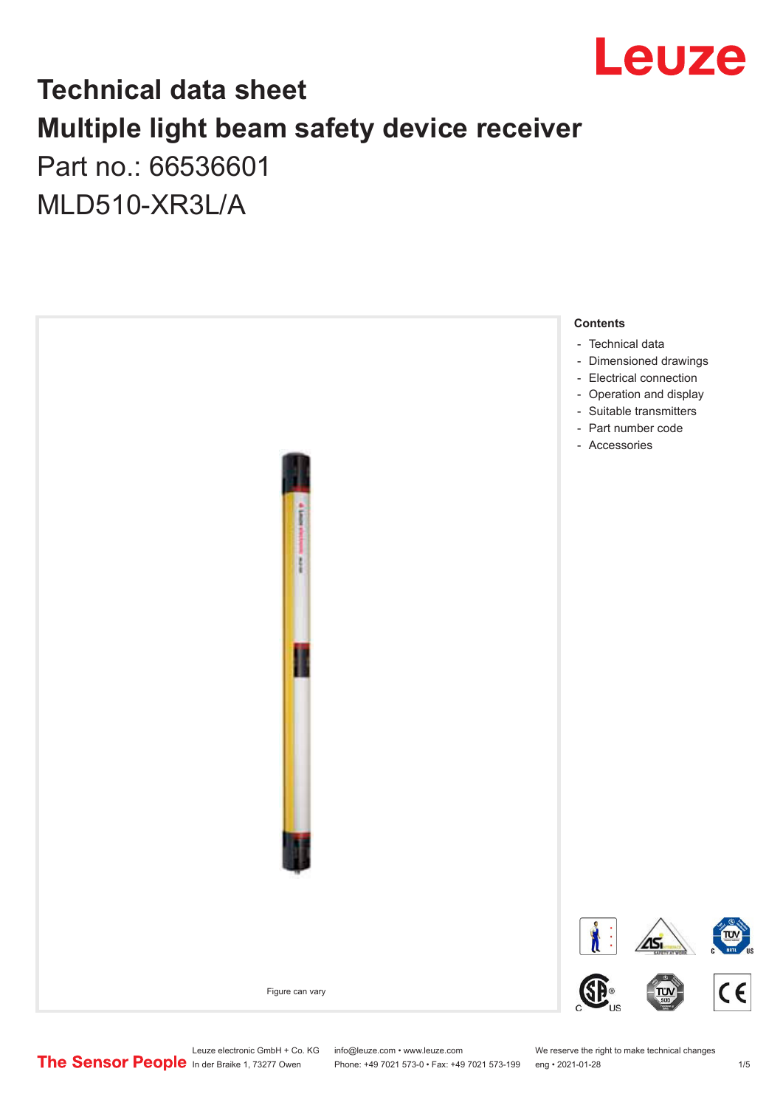

## **Technical data sheet Multiple light beam safety device receiver** Part no.: 66536601

MLD510-XR3L/A



Leuze electronic GmbH + Co. KG info@leuze.com • www.leuze.com We reserve the right to make technical changes<br>
The Sensor People in der Braike 1, 73277 Owen Phone: +49 7021 573-0 • Fax: +49 7021 573-199 eng • 2021-01-28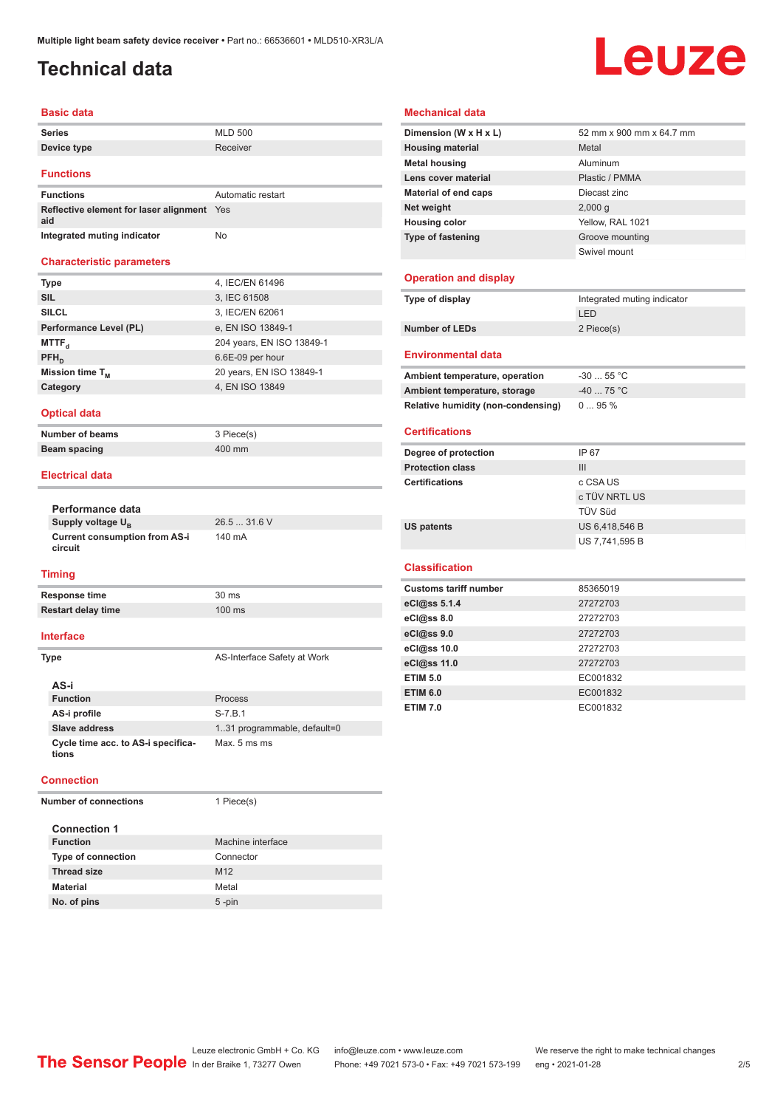### <span id="page-1-0"></span>**Technical data**

# Leuze

#### **Basic data**

| Series      | <b>MLD 500</b> |
|-------------|----------------|
| Device type | Receiver       |
|             |                |

#### **Functions**

| <b>Functions</b>                              | Automatic restart |
|-----------------------------------------------|-------------------|
| Reflective element for laser alignment<br>aid | <b>Yes</b>        |
| Integrated muting indicator                   | No                |

#### **Characteristic parameters**

| <b>Type</b>            | 4, IEC/EN 61496           |
|------------------------|---------------------------|
| <b>SIL</b>             | 3, IEC 61508              |
| <b>SILCL</b>           | 3, IEC/EN 62061           |
| Performance Level (PL) | e, EN ISO 13849-1         |
| MTTF <sub>a</sub>      | 204 years, EN ISO 13849-1 |
| $PFH_{n}$              | 6.6E-09 per hour          |
| Mission time $T_{M}$   | 20 years, EN ISO 13849-1  |
| Category               | 4, EN ISO 13849           |
|                        |                           |

#### **Optical data**

**Number of beams** 3 Piece(s)

**Beam spacing 400 mm** 

#### **Electrical data**

| Performance data                                |              |
|-------------------------------------------------|--------------|
| Supply voltage U <sub>p</sub>                   | $26.531.6$ V |
| <b>Current consumption from AS-i</b><br>circuit | 140 mA       |

#### **Timing**

| Response time             | 30 ms            |
|---------------------------|------------------|
| <b>Restart delay time</b> | $100 \text{ ms}$ |
|                           |                  |

#### **Interface**

| Type                                        | AS-Interface Safety at Work  |
|---------------------------------------------|------------------------------|
| AS-i                                        |                              |
| <b>Function</b>                             | Process                      |
| AS-i profile                                | $S - 7.B.1$                  |
| Slave address                               | 1.31 programmable, default=0 |
| Cycle time acc. to AS-i specifica-<br>tions | Max. 5 ms ms                 |

#### **Connection**

**Number of connections** 1 Piece(s)

| <b>Connection 1</b>       |                   |
|---------------------------|-------------------|
| <b>Function</b>           | Machine interface |
| <b>Type of connection</b> | Connector         |
| <b>Thread size</b>        | M <sub>12</sub>   |
| <b>Material</b>           | Metal             |
| No. of pins               | $5 - pin$         |

#### **Mechanical data**

| Dimension (W x H x L)       | 52 mm x 900 mm x 64.7 mm |
|-----------------------------|--------------------------|
| <b>Housing material</b>     | Metal                    |
| <b>Metal housing</b>        | Aluminum                 |
| Lens cover material         | Plastic / PMMA           |
| <b>Material of end caps</b> | Diecast zinc             |
| Net weight                  | 2,000q                   |
| <b>Housing color</b>        | Yellow, RAL 1021         |
| <b>Type of fastening</b>    | Groove mounting          |
|                             | Swivel mount             |

#### **Operation and display**

| Type of display       | Integrated muting indicator |
|-----------------------|-----------------------------|
|                       | LED                         |
| <b>Number of LEDs</b> | 2 Piece(s)                  |
|                       |                             |

#### **Environmental data**

| Ambient temperature, operation     | $-3055$ °C |
|------------------------------------|------------|
| Ambient temperature, storage       | $-4075 °C$ |
| Relative humidity (non-condensing) | $095\%$    |

#### **Certifications**

| Degree of protection    | IP 67          |
|-------------------------|----------------|
| <b>Protection class</b> | Ш              |
| <b>Certifications</b>   | c CSA US       |
|                         | c TÜV NRTL US  |
|                         | TÜV Süd        |
| <b>US patents</b>       | US 6,418,546 B |
|                         | US 7,741,595 B |

#### **Classification**

| <b>Customs tariff number</b> | 85365019 |
|------------------------------|----------|
| eCl@ss 5.1.4                 | 27272703 |
| eCl@ss 8.0                   | 27272703 |
| eCl@ss 9.0                   | 27272703 |
| eCl@ss 10.0                  | 27272703 |
| eCl@ss 11.0                  | 27272703 |
| <b>ETIM 5.0</b>              | EC001832 |
| <b>ETIM 6.0</b>              | EC001832 |
| <b>ETIM 7.0</b>              | EC001832 |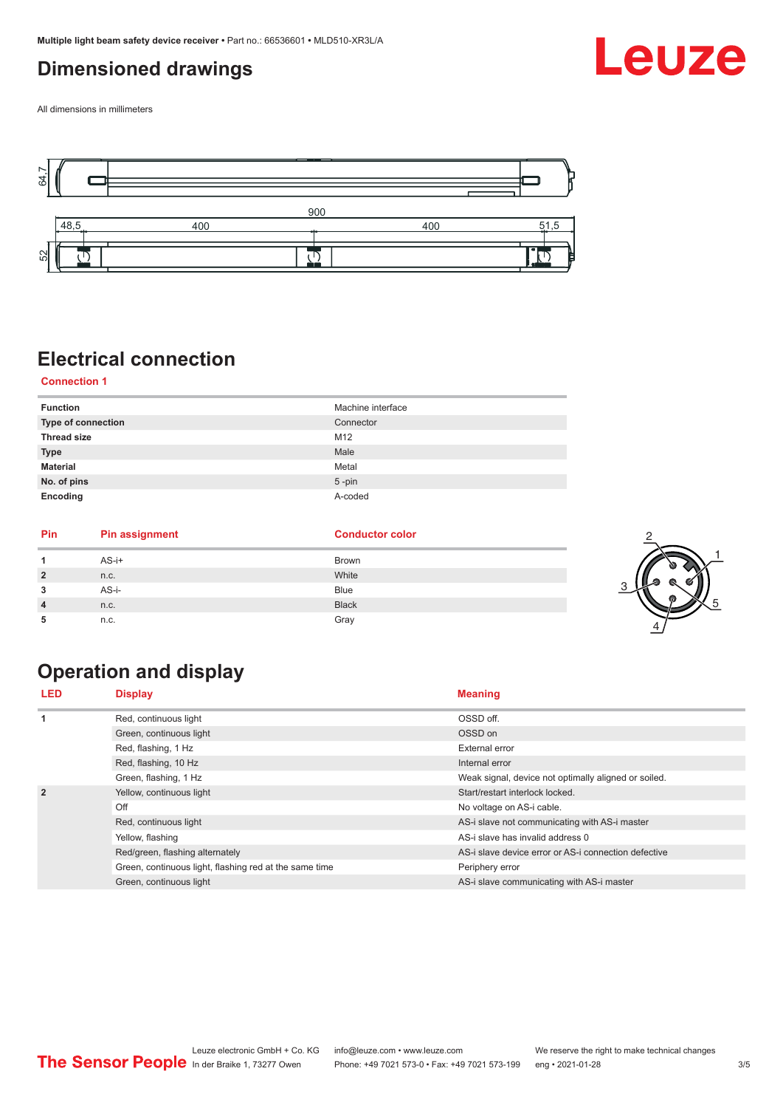### <span id="page-2-0"></span>**Dimensioned drawings**

Leuze

All dimensions in millimeters



### **Electrical connection**

#### **Connection 1**

| <b>Function</b>    | Machine interface |
|--------------------|-------------------|
| Type of connection | Connector         |
| <b>Thread size</b> | M12               |
| <b>Type</b>        | Male              |
| <b>Material</b>    | Metal             |
| No. of pins        | $5$ -pin          |
| Encoding           | A-coded           |

| Pin            | <b>Pin assignment</b> | <b>Conductor color</b> |   |
|----------------|-----------------------|------------------------|---|
|                | $AS-i+$               | <b>Brown</b>           |   |
| $\overline{2}$ | n.c.                  | White                  |   |
| 3              | AS-i-                 | Blue                   | ◠ |
| $\overline{4}$ | n.c.                  | <b>Black</b>           |   |
| 5              | n.c.                  | Gray                   |   |

### **Operation and display**

| <b>LED</b>     | <b>Display</b>                                         | <b>Meaning</b>                                       |
|----------------|--------------------------------------------------------|------------------------------------------------------|
| 1              | Red, continuous light                                  | OSSD off.                                            |
|                | Green, continuous light                                | OSSD on                                              |
|                | Red, flashing, 1 Hz                                    | External error                                       |
|                | Red, flashing, 10 Hz                                   | Internal error                                       |
|                | Green, flashing, 1 Hz                                  | Weak signal, device not optimally aligned or soiled. |
| $\overline{2}$ | Yellow, continuous light                               | Start/restart interlock locked.                      |
|                | Off                                                    | No voltage on AS-i cable.                            |
|                | Red, continuous light                                  | AS-i slave not communicating with AS-i master        |
|                | Yellow, flashing                                       | AS-i slave has invalid address 0                     |
|                | Red/green, flashing alternately                        | AS-i slave device error or AS-i connection defective |
|                | Green, continuous light, flashing red at the same time | Periphery error                                      |
|                | Green, continuous light                                | AS-i slave communicating with AS-i master            |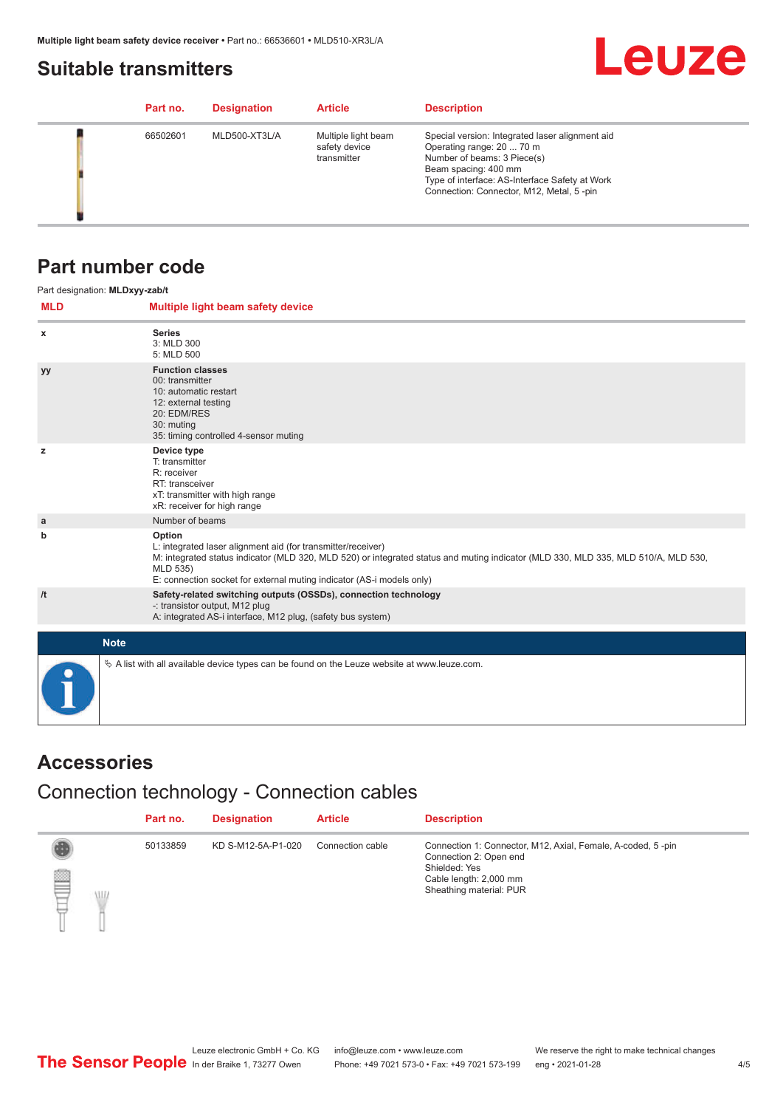### <span id="page-3-0"></span>**Suitable transmitters**



|  | Part no. | <b>Designation</b> | <b>Article</b>                                      | <b>Description</b>                                                                                                                                                                                                                |
|--|----------|--------------------|-----------------------------------------------------|-----------------------------------------------------------------------------------------------------------------------------------------------------------------------------------------------------------------------------------|
|  | 66502601 | MLD500-XT3L/A      | Multiple light beam<br>safety device<br>transmitter | Special version: Integrated laser alignment aid<br>Operating range: 20  70 m<br>Number of beams: 3 Piece(s)<br>Beam spacing: 400 mm<br>Type of interface: AS-Interface Safety at Work<br>Connection: Connector, M12, Metal, 5-pin |

### **Part number code**

|              | Part designation: MLDxyy-zab/t                                                                                                                                                                                                                                                                    |
|--------------|---------------------------------------------------------------------------------------------------------------------------------------------------------------------------------------------------------------------------------------------------------------------------------------------------|
| <b>MLD</b>   | Multiple light beam safety device                                                                                                                                                                                                                                                                 |
| x            | <b>Series</b><br>3: MLD 300<br>5: MLD 500                                                                                                                                                                                                                                                         |
| <b>yy</b>    | <b>Function classes</b><br>00: transmitter<br>10: automatic restart<br>12: external testing<br>20: EDM/RES<br>30: muting<br>35: timing controlled 4-sensor muting                                                                                                                                 |
| z            | Device type<br>T: transmitter<br>R: receiver<br>RT: transceiver<br>xT: transmitter with high range<br>xR: receiver for high range                                                                                                                                                                 |
| $\mathbf{a}$ | Number of beams                                                                                                                                                                                                                                                                                   |
| b            | Option<br>L: integrated laser alignment aid (for transmitter/receiver)<br>M: integrated status indicator (MLD 320, MLD 520) or integrated status and muting indicator (MLD 330, MLD 335, MLD 510/A, MLD 530,<br>MLD 535)<br>E: connection socket for external muting indicator (AS-i models only) |
| /t           | Safety-related switching outputs (OSSDs), connection technology<br>-: transistor output, M12 plug<br>A: integrated AS-i interface, M12 plug, (safety bus system)                                                                                                                                  |
|              | <b>Note</b>                                                                                                                                                                                                                                                                                       |
|              | $\&$ A list with all available device types can be found on the Leuze website at www.leuze.com.                                                                                                                                                                                                   |

### **Accessories**

### Connection technology - Connection cables

|         | Part no. | <b>Designation</b> | <b>Article</b>   | <b>Description</b>                                                                                                                                          |
|---------|----------|--------------------|------------------|-------------------------------------------------------------------------------------------------------------------------------------------------------------|
| ▤<br>WL | 50133859 | KD S-M12-5A-P1-020 | Connection cable | Connection 1: Connector, M12, Axial, Female, A-coded, 5-pin<br>Connection 2: Open end<br>Shielded: Yes<br>Cable length: 2,000 mm<br>Sheathing material: PUR |